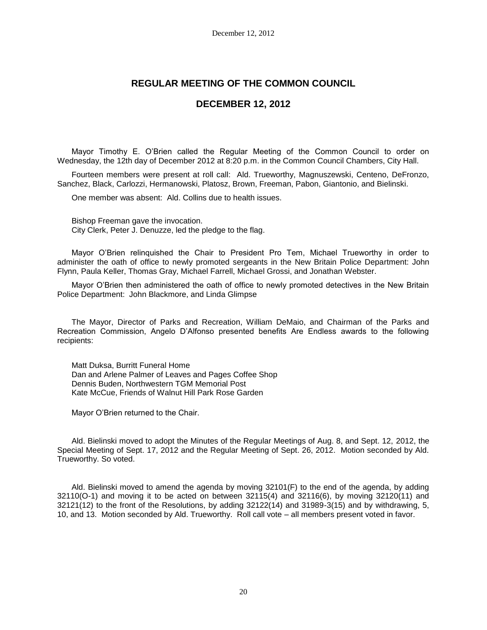# **REGULAR MEETING OF THE COMMON COUNCIL**

## **DECEMBER 12, 2012**

Mayor Timothy E. O'Brien called the Regular Meeting of the Common Council to order on Wednesday, the 12th day of December 2012 at 8:20 p.m. in the Common Council Chambers, City Hall.

Fourteen members were present at roll call: Ald. Trueworthy, Magnuszewski, Centeno, DeFronzo, Sanchez, Black, Carlozzi, Hermanowski, Platosz, Brown, Freeman, Pabon, Giantonio, and Bielinski.

One member was absent: Ald. Collins due to health issues.

Bishop Freeman gave the invocation. City Clerk, Peter J. Denuzze, led the pledge to the flag.

Mayor O'Brien relinquished the Chair to President Pro Tem, Michael Trueworthy in order to administer the oath of office to newly promoted sergeants in the New Britain Police Department: John Flynn, Paula Keller, Thomas Gray, Michael Farrell, Michael Grossi, and Jonathan Webster.

Mayor O'Brien then administered the oath of office to newly promoted detectives in the New Britain Police Department: John Blackmore, and Linda Glimpse

The Mayor, Director of Parks and Recreation, William DeMaio, and Chairman of the Parks and Recreation Commission, Angelo D'Alfonso presented benefits Are Endless awards to the following recipients:

Matt Duksa, Burritt Funeral Home Dan and Arlene Palmer of Leaves and Pages Coffee Shop Dennis Buden, Northwestern TGM Memorial Post Kate McCue, Friends of Walnut Hill Park Rose Garden

Mayor O'Brien returned to the Chair.

Ald. Bielinski moved to adopt the Minutes of the Regular Meetings of Aug. 8, and Sept. 12, 2012, the Special Meeting of Sept. 17, 2012 and the Regular Meeting of Sept. 26, 2012. Motion seconded by Ald. Trueworthy. So voted.

Ald. Bielinski moved to amend the agenda by moving 32101(F) to the end of the agenda, by adding 32110(O-1) and moving it to be acted on between 32115(4) and 32116(6), by moving 32120(11) and 32121(12) to the front of the Resolutions, by adding 32122(14) and 31989-3(15) and by withdrawing, 5, 10, and 13. Motion seconded by Ald. Trueworthy. Roll call vote – all members present voted in favor.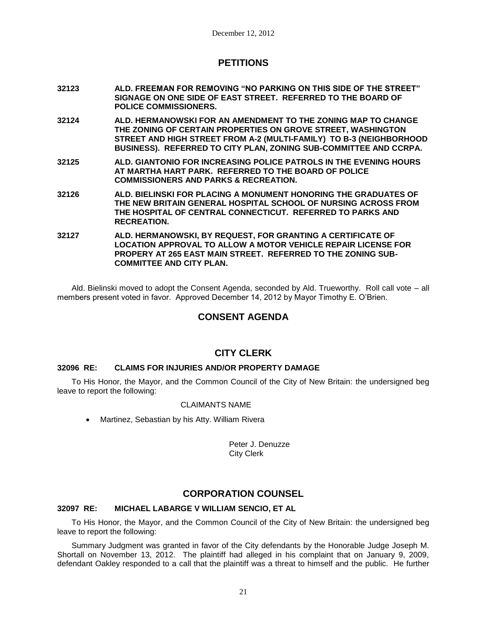# **PETITIONS**

- **32123 ALD. FREEMAN FOR REMOVING "NO PARKING ON THIS SIDE OF THE STREET" SIGNAGE ON ONE SIDE OF EAST STREET. REFERRED TO THE BOARD OF POLICE COMMISSIONERS.**
- **32124 ALD. HERMANOWSKI FOR AN AMENDMENT TO THE ZONING MAP TO CHANGE THE ZONING OF CERTAIN PROPERTIES ON GROVE STREET, WASHINGTON STREET AND HIGH STREET FROM A-2 (MULTI-FAMILY) TO B-3 (NEIGHBORHOOD BUSINESS). REFERRED TO CITY PLAN, ZONING SUB-COMMITTEE AND CCRPA.**
- **32125 ALD. GIANTONIO FOR INCREASING POLICE PATROLS IN THE EVENING HOURS AT MARTHA HART PARK. REFERRED TO THE BOARD OF POLICE COMMISSIONERS AND PARKS & RECREATION.**
- **32126 ALD. BIELINSKI FOR PLACING A MONUMENT HONORING THE GRADUATES OF THE NEW BRITAIN GENERAL HOSPITAL SCHOOL OF NURSING ACROSS FROM THE HOSPITAL OF CENTRAL CONNECTICUT. REFERRED TO PARKS AND RECREATION.**
- **32127 ALD. HERMANOWSKI, BY REQUEST, FOR GRANTING A CERTIFICATE OF LOCATION APPROVAL TO ALLOW A MOTOR VEHICLE REPAIR LICENSE FOR PROPERY AT 265 EAST MAIN STREET. REFERRED TO THE ZONING SUB-COMMITTEE AND CITY PLAN.**

Ald. Bielinski moved to adopt the Consent Agenda, seconded by Ald. Trueworthy. Roll call vote – all members present voted in favor. Approved December 14, 2012 by Mayor Timothy E. O'Brien.

# **CONSENT AGENDA**

# **CITY CLERK**

## **32096 RE: CLAIMS FOR INJURIES AND/OR PROPERTY DAMAGE**

To His Honor, the Mayor, and the Common Council of the City of New Britain: the undersigned beg leave to report the following:

## CLAIMANTS NAME

Martinez, Sebastian by his Atty. William Rivera

Peter J. Denuzze City Clerk

# **CORPORATION COUNSEL**

#### **32097 RE: MICHAEL LABARGE V WILLIAM SENCIO, ET AL**

To His Honor, the Mayor, and the Common Council of the City of New Britain: the undersigned beg leave to report the following:

Summary Judgment was granted in favor of the City defendants by the Honorable Judge Joseph M. Shortall on November 13, 2012. The plaintiff had alleged in his complaint that on January 9, 2009, defendant Oakley responded to a call that the plaintiff was a threat to himself and the public. He further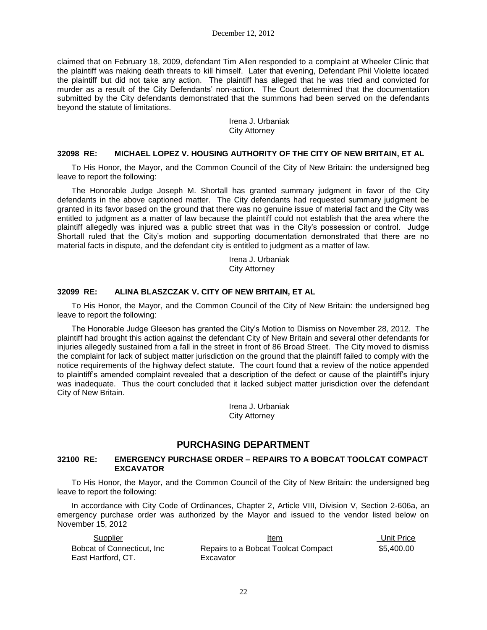claimed that on February 18, 2009, defendant Tim Allen responded to a complaint at Wheeler Clinic that the plaintiff was making death threats to kill himself. Later that evening, Defendant Phil Violette located the plaintiff but did not take any action. The plaintiff has alleged that he was tried and convicted for murder as a result of the City Defendants' non-action. The Court determined that the documentation submitted by the City defendants demonstrated that the summons had been served on the defendants beyond the statute of limitations.

> Irena J. Urbaniak City Attorney

#### **32098 RE: MICHAEL LOPEZ V. HOUSING AUTHORITY OF THE CITY OF NEW BRITAIN, ET AL**

To His Honor, the Mayor, and the Common Council of the City of New Britain: the undersigned beg leave to report the following:

The Honorable Judge Joseph M. Shortall has granted summary judgment in favor of the City defendants in the above captioned matter. The City defendants had requested summary judgment be granted in its favor based on the ground that there was no genuine issue of material fact and the City was entitled to judgment as a matter of law because the plaintiff could not establish that the area where the plaintiff allegedly was injured was a public street that was in the City's possession or control. Judge Shortall ruled that the City's motion and supporting documentation demonstrated that there are no material facts in dispute, and the defendant city is entitled to judgment as a matter of law.

> Irena J. Urbaniak City Attorney

#### **32099 RE: ALINA BLASZCZAK V. CITY OF NEW BRITAIN, ET AL**

To His Honor, the Mayor, and the Common Council of the City of New Britain: the undersigned beg leave to report the following:

The Honorable Judge Gleeson has granted the City's Motion to Dismiss on November 28, 2012. The plaintiff had brought this action against the defendant City of New Britain and several other defendants for injuries allegedly sustained from a fall in the street in front of 86 Broad Street. The City moved to dismiss the complaint for lack of subject matter jurisdiction on the ground that the plaintiff failed to comply with the notice requirements of the highway defect statute. The court found that a review of the notice appended to plaintiff's amended complaint revealed that a description of the defect or cause of the plaintiff's injury was inadequate. Thus the court concluded that it lacked subject matter jurisdiction over the defendant City of New Britain.

> Irena J. Urbaniak City Attorney

## **PURCHASING DEPARTMENT**

#### **32100 RE: EMERGENCY PURCHASE ORDER – REPAIRS TO A BOBCAT TOOLCAT COMPACT EXCAVATOR**

To His Honor, the Mayor, and the Common Council of the City of New Britain: the undersigned beg leave to report the following:

In accordance with City Code of Ordinances, Chapter 2, Article VIII, Division V, Section 2-606a, an emergency purchase order was authorized by the Mayor and issued to the vendor listed below on November 15, 2012

| Supplier                    | Item                                | Unit Price |
|-----------------------------|-------------------------------------|------------|
| Bobcat of Connecticut, Inc. | Repairs to a Bobcat Toolcat Compact | \$5.400.00 |
| East Hartford, CT.          | Excavator                           |            |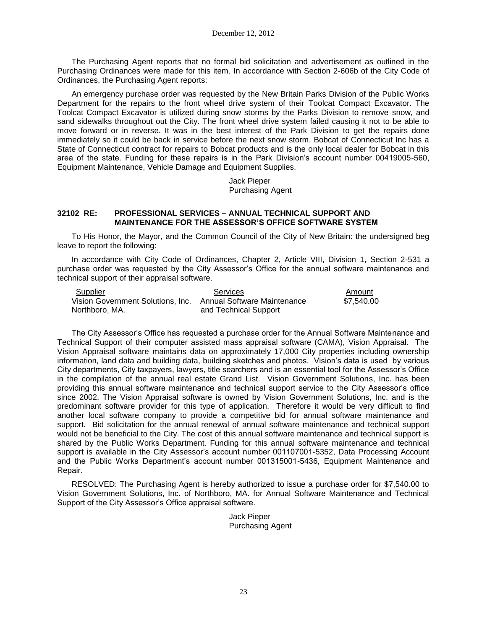The Purchasing Agent reports that no formal bid solicitation and advertisement as outlined in the Purchasing Ordinances were made for this item. In accordance with Section 2-606b of the City Code of Ordinances, the Purchasing Agent reports:

An emergency purchase order was requested by the New Britain Parks Division of the Public Works Department for the repairs to the front wheel drive system of their Toolcat Compact Excavator. The Toolcat Compact Excavator is utilized during snow storms by the Parks Division to remove snow, and sand sidewalks throughout out the City. The front wheel drive system failed causing it not to be able to move forward or in reverse. It was in the best interest of the Park Division to get the repairs done immediately so it could be back in service before the next snow storm. Bobcat of Connecticut Inc has a State of Connecticut contract for repairs to Bobcat products and is the only local dealer for Bobcat in this area of the state. Funding for these repairs is in the Park Division's account number 00419005-560, Equipment Maintenance, Vehicle Damage and Equipment Supplies.

> Jack Pieper Purchasing Agent

#### **32102 RE: PROFESSIONAL SERVICES – ANNUAL TECHNICAL SUPPORT AND MAINTENANCE FOR THE ASSESSOR'S OFFICE SOFTWARE SYSTEM**

To His Honor, the Mayor, and the Common Council of the City of New Britain: the undersigned beg leave to report the following:

In accordance with City Code of Ordinances, Chapter 2, Article VIII, Division 1, Section 2-531 a purchase order was requested by the City Assessor's Office for the annual software maintenance and technical support of their appraisal software.

| Supplier                                                      | Services              | Amount     |
|---------------------------------------------------------------|-----------------------|------------|
| Vision Government Solutions. Inc. Annual Software Maintenance |                       | \$7.540.00 |
| Northboro, MA.                                                | and Technical Support |            |

The City Assessor's Office has requested a purchase order for the Annual Software Maintenance and Technical Support of their computer assisted mass appraisal software (CAMA), Vision Appraisal. The Vision Appraisal software maintains data on approximately 17,000 City properties including ownership information, land data and building data, building sketches and photos. Vision's data is used by various City departments, City taxpayers, lawyers, title searchers and is an essential tool for the Assessor's Office in the compilation of the annual real estate Grand List. Vision Government Solutions, Inc. has been providing this annual software maintenance and technical support service to the City Assessor's office since 2002. The Vision Appraisal software is owned by Vision Government Solutions, Inc. and is the predominant software provider for this type of application. Therefore it would be very difficult to find another local software company to provide a competitive bid for annual software maintenance and support. Bid solicitation for the annual renewal of annual software maintenance and technical support would not be beneficial to the City. The cost of this annual software maintenance and technical support is shared by the Public Works Department. Funding for this annual software maintenance and technical support is available in the City Assessor's account number 001107001-5352, Data Processing Account and the Public Works Department's account number 001315001-5436, Equipment Maintenance and Repair.

RESOLVED: The Purchasing Agent is hereby authorized to issue a purchase order for \$7,540.00 to Vision Government Solutions, Inc. of Northboro, MA. for Annual Software Maintenance and Technical Support of the City Assessor's Office appraisal software.

> Jack Pieper Purchasing Agent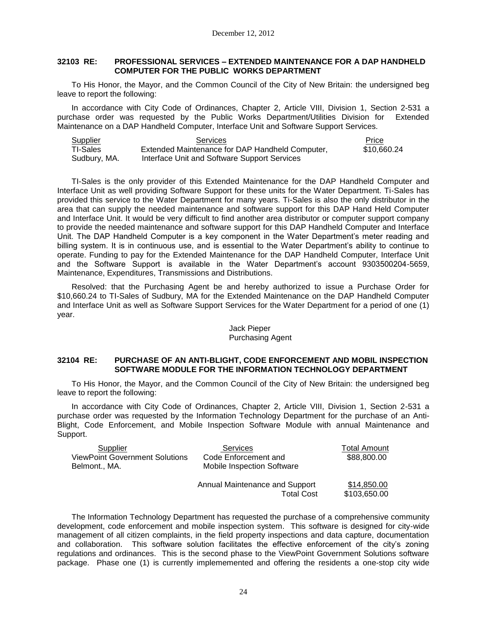#### **32103 RE: PROFESSIONAL SERVICES – EXTENDED MAINTENANCE FOR A DAP HANDHELD COMPUTER FOR THE PUBLIC WORKS DEPARTMENT**

To His Honor, the Mayor, and the Common Council of the City of New Britain: the undersigned beg leave to report the following:

In accordance with City Code of Ordinances, Chapter 2, Article VIII, Division 1, Section 2-531 a purchase order was requested by the Public Works Department/Utilities Division for Extended Maintenance on a DAP Handheld Computer, Interface Unit and Software Support Services.

| Supplier     | Services                                        | Price       |  |
|--------------|-------------------------------------------------|-------------|--|
| TI-Sales     | Extended Maintenance for DAP Handheld Computer, | \$10.660.24 |  |
| Sudbury, MA. | Interface Unit and Software Support Services    |             |  |

TI-Sales is the only provider of this Extended Maintenance for the DAP Handheld Computer and Interface Unit as well providing Software Support for these units for the Water Department. Ti-Sales has provided this service to the Water Department for many years. Ti-Sales is also the only distributor in the area that can supply the needed maintenance and software support for this DAP Hand Held Computer and Interface Unit. It would be very difficult to find another area distributor or computer support company to provide the needed maintenance and software support for this DAP Handheld Computer and Interface Unit. The DAP Handheld Computer is a key component in the Water Department's meter reading and billing system. It is in continuous use, and is essential to the Water Department's ability to continue to operate. Funding to pay for the Extended Maintenance for the DAP Handheld Computer, Interface Unit and the Software Support is available in the Water Department's account 9303500204-5659, Maintenance, Expenditures, Transmissions and Distributions.

Resolved: that the Purchasing Agent be and hereby authorized to issue a Purchase Order for \$10,660.24 to TI-Sales of Sudbury, MA for the Extended Maintenance on the DAP Handheld Computer and Interface Unit as well as Software Support Services for the Water Department for a period of one (1) year.

### Jack Pieper Purchasing Agent

#### **32104 RE: PURCHASE OF AN ANTI-BLIGHT, CODE ENFORCEMENT AND MOBIL INSPECTION SOFTWARE MODULE FOR THE INFORMATION TECHNOLOGY DEPARTMENT**

To His Honor, the Mayor, and the Common Council of the City of New Britain: the undersigned beg leave to report the following:

In accordance with City Code of Ordinances, Chapter 2, Article VIII, Division 1, Section 2-531 a purchase order was requested by the Information Technology Department for the purchase of an Anti-Blight, Code Enforcement, and Mobile Inspection Software Module with annual Maintenance and Support.

| Supplier                              | Services                          | Total Amount |
|---------------------------------------|-----------------------------------|--------------|
| <b>ViewPoint Government Solutions</b> | Code Enforcement and              | \$88,800.00  |
| Belmont., MA.                         | <b>Mobile Inspection Software</b> |              |
|                                       | Annual Maintenance and Support    | \$14,850.00  |
|                                       | <b>Total Cost</b>                 | \$103,650.00 |

The Information Technology Department has requested the purchase of a comprehensive community development, code enforcement and mobile inspection system. This software is designed for city-wide management of all citizen complaints, in the field property inspections and data capture, documentation and collaboration. This software solution facilitates the effective enforcement of the city's zoning regulations and ordinances. This is the second phase to the ViewPoint Government Solutions software package. Phase one (1) is currently implememented and offering the residents a one-stop city wide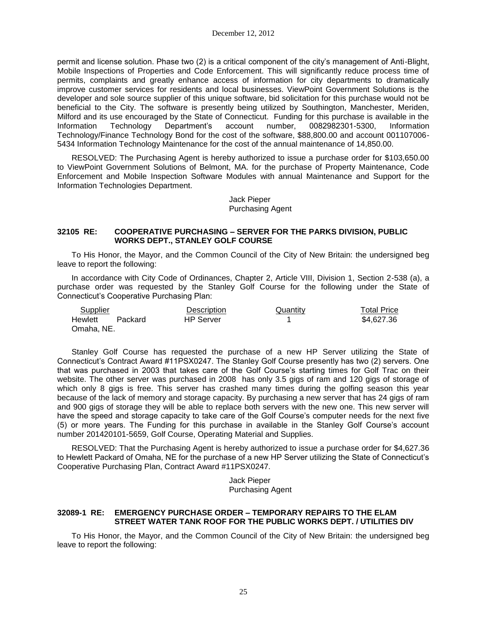permit and license solution. Phase two (2) is a critical component of the city's management of Anti-Blight, Mobile Inspections of Properties and Code Enforcement. This will significantly reduce process time of permits, complaints and greatly enhance access of information for city departments to dramatically improve customer services for residents and local businesses. ViewPoint Government Solutions is the developer and sole source supplier of this unique software, bid solicitation for this purchase would not be beneficial to the City. The software is presently being utilized by Southington, Manchester, Meriden, Milford and its use encouraged by the State of Connecticut. Funding for this purchase is available in the Information Technology Department's account number, 0082982301-5300, Information Technology/Finance Technology Bond for the cost of the software, \$88,800.00 and account 001107006- 5434 Information Technology Maintenance for the cost of the annual maintenance of 14,850.00.

RESOLVED: The Purchasing Agent is hereby authorized to issue a purchase order for \$103,650.00 to ViewPoint Government Solutions of Belmont, MA. for the purchase of Property Maintenance, Code Enforcement and Mobile Inspection Software Modules with annual Maintenance and Support for the Information Technologies Department.

> Jack Pieper Purchasing Agent

#### **32105 RE: COOPERATIVE PURCHASING – SERVER FOR THE PARKS DIVISION, PUBLIC WORKS DEPT., STANLEY GOLF COURSE**

To His Honor, the Mayor, and the Common Council of the City of New Britain: the undersigned beg leave to report the following:

In accordance with City Code of Ordinances, Chapter 2, Article VIII, Division 1, Section 2-538 (a), a purchase order was requested by the Stanley Golf Course for the following under the State of Connecticut's Cooperative Purchasing Plan:

| Supplier   |         | Description      | Quantity | <b>Total Price</b> |
|------------|---------|------------------|----------|--------------------|
| Hewlett    | Packard | <b>HP</b> Server |          | \$4,627,36         |
| Omaha, NE. |         |                  |          |                    |

Stanley Golf Course has requested the purchase of a new HP Server utilizing the State of Connecticut's Contract Award #11PSX0247. The Stanley Golf Course presently has two (2) servers. One that was purchased in 2003 that takes care of the Golf Course's starting times for Golf Trac on their website. The other server was purchased in 2008 has only 3.5 gigs of ram and 120 gigs of storage of which only 8 gigs is free. This server has crashed many times during the golfing season this year because of the lack of memory and storage capacity. By purchasing a new server that has 24 gigs of ram and 900 gigs of storage they will be able to replace both servers with the new one. This new server will have the speed and storage capacity to take care of the Golf Course's computer needs for the next five (5) or more years. The Funding for this purchase in available in the Stanley Golf Course's account number 201420101-5659, Golf Course, Operating Material and Supplies.

RESOLVED: That the Purchasing Agent is hereby authorized to issue a purchase order for \$4,627.36 to Hewlett Packard of Omaha, NE for the purchase of a new HP Server utilizing the State of Connecticut's Cooperative Purchasing Plan, Contract Award #11PSX0247.

> Jack Pieper Purchasing Agent

#### **32089-1 RE: EMERGENCY PURCHASE ORDER – TEMPORARY REPAIRS TO THE ELAM STREET WATER TANK ROOF FOR THE PUBLIC WORKS DEPT. / UTILITIES DIV**

To His Honor, the Mayor, and the Common Council of the City of New Britain: the undersigned beg leave to report the following: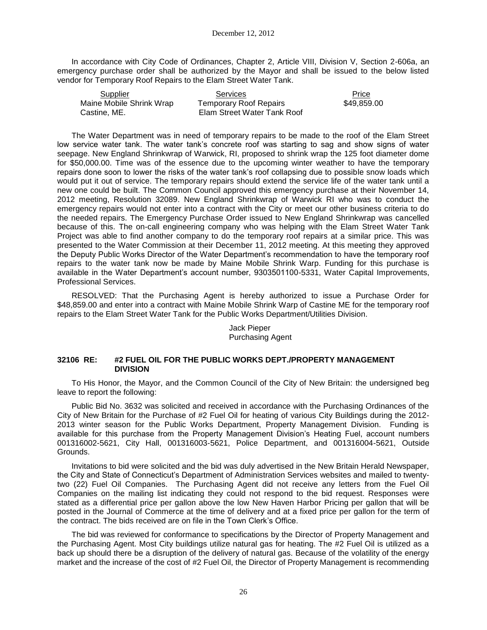In accordance with City Code of Ordinances, Chapter 2, Article VIII, Division V, Section 2-606a, an emergency purchase order shall be authorized by the Mayor and shall be issued to the below listed vendor for Temporary Roof Repairs to the Elam Street Water Tank.

| Supplier                 | <b>Services</b>               | Price       |
|--------------------------|-------------------------------|-------------|
| Maine Mobile Shrink Wrap | <b>Temporary Roof Repairs</b> | \$49,859.00 |
| Castine, ME.             | Elam Street Water Tank Roof   |             |

The Water Department was in need of temporary repairs to be made to the roof of the Elam Street low service water tank. The water tank's concrete roof was starting to sag and show signs of water seepage. New England Shrinkwrap of Warwick, RI, proposed to shrink wrap the 125 foot diameter dome for \$50,000.00. Time was of the essence due to the upcoming winter weather to have the temporary repairs done soon to lower the risks of the water tank's roof collapsing due to possible snow loads which would put it out of service. The temporary repairs should extend the service life of the water tank until a new one could be built. The Common Council approved this emergency purchase at their November 14, 2012 meeting, Resolution 32089. New England Shrinkwrap of Warwick RI who was to conduct the emergency repairs would not enter into a contract with the City or meet our other business criteria to do the needed repairs. The Emergency Purchase Order issued to New England Shrinkwrap was cancelled because of this. The on-call engineering company who was helping with the Elam Street Water Tank Project was able to find another company to do the temporary roof repairs at a similar price. This was presented to the Water Commission at their December 11, 2012 meeting. At this meeting they approved the Deputy Public Works Director of the Water Department's recommendation to have the temporary roof repairs to the water tank now be made by Maine Mobile Shrink Warp. Funding for this purchase is available in the Water Department's account number, 9303501100-5331, Water Capital Improvements, Professional Services.

RESOLVED: That the Purchasing Agent is hereby authorized to issue a Purchase Order for \$48,859.00 and enter into a contract with Maine Mobile Shrink Warp of Castine ME for the temporary roof repairs to the Elam Street Water Tank for the Public Works Department/Utilities Division.

## Jack Pieper Purchasing Agent

#### **32106 RE: #2 FUEL OIL FOR THE PUBLIC WORKS DEPT./PROPERTY MANAGEMENT DIVISION**

To His Honor, the Mayor, and the Common Council of the City of New Britain: the undersigned beg leave to report the following:

Public Bid No. 3632 was solicited and received in accordance with the Purchasing Ordinances of the City of New Britain for the Purchase of #2 Fuel Oil for heating of various City Buildings during the 2012- 2013 winter season for the Public Works Department, Property Management Division. Funding is available for this purchase from the Property Management Division's Heating Fuel, account numbers 001316002-5621, City Hall, 001316003-5621, Police Department, and 001316004-5621, Outside Grounds.

Invitations to bid were solicited and the bid was duly advertised in the New Britain Herald Newspaper, the City and State of Connecticut's Department of Administration Services websites and mailed to twentytwo (22) Fuel Oil Companies. The Purchasing Agent did not receive any letters from the Fuel Oil Companies on the mailing list indicating they could not respond to the bid request. Responses were stated as a differential price per gallon above the low New Haven Harbor Pricing per gallon that will be posted in the Journal of Commerce at the time of delivery and at a fixed price per gallon for the term of the contract. The bids received are on file in the Town Clerk's Office.

The bid was reviewed for conformance to specifications by the Director of Property Management and the Purchasing Agent. Most City buildings utilize natural gas for heating. The #2 Fuel Oil is utilized as a back up should there be a disruption of the delivery of natural gas. Because of the volatility of the energy market and the increase of the cost of #2 Fuel Oil, the Director of Property Management is recommending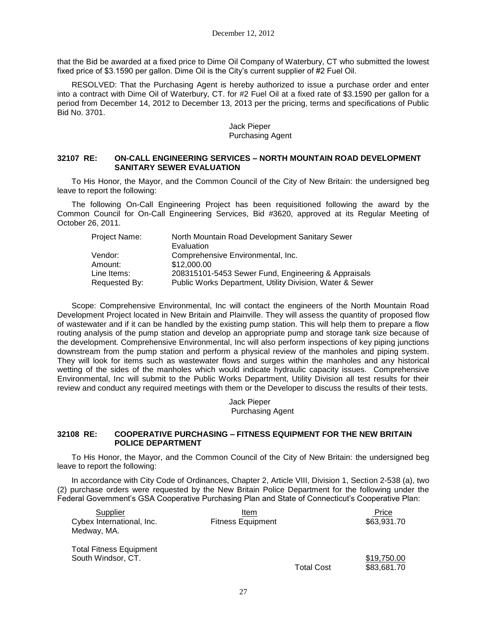that the Bid be awarded at a fixed price to Dime Oil Company of Waterbury, CT who submitted the lowest fixed price of \$3.1590 per gallon. Dime Oil is the City's current supplier of #2 Fuel Oil.

RESOLVED: That the Purchasing Agent is hereby authorized to issue a purchase order and enter into a contract with Dime Oil of Waterbury, CT. for #2 Fuel Oil at a fixed rate of \$3.1590 per gallon for a period from December 14, 2012 to December 13, 2013 per the pricing, terms and specifications of Public Bid No. 3701.

#### Jack Pieper Purchasing Agent

#### **32107 RE: ON-CALL ENGINEERING SERVICES – NORTH MOUNTAIN ROAD DEVELOPMENT SANITARY SEWER EVALUATION**

To His Honor, the Mayor, and the Common Council of the City of New Britain: the undersigned beg leave to report the following:

The following On-Call Engineering Project has been requisitioned following the award by the Common Council for On-Call Engineering Services, Bid #3620, approved at its Regular Meeting of October 26, 2011.

| Project Name: | North Mountain Road Development Sanitary Sewer           |
|---------------|----------------------------------------------------------|
|               | Evaluation                                               |
| Vendor:       | Comprehensive Environmental, Inc.                        |
| Amount:       | \$12,000.00                                              |
| Line Items:   | 208315101-5453 Sewer Fund, Engineering & Appraisals      |
| Requested By: | Public Works Department, Utility Division, Water & Sewer |
|               |                                                          |

Scope: Comprehensive Environmental, Inc will contact the engineers of the North Mountain Road Development Project located in New Britain and Plainville. They will assess the quantity of proposed flow of wastewater and if it can be handled by the existing pump station. This will help them to prepare a flow routing analysis of the pump station and develop an appropriate pump and storage tank size because of the development. Comprehensive Environmental, Inc will also perform inspections of key piping junctions downstream from the pump station and perform a physical review of the manholes and piping system. They will look for items such as wastewater flows and surges within the manholes and any historical wetting of the sides of the manholes which would indicate hydraulic capacity issues. Comprehensive Environmental, Inc will submit to the Public Works Department, Utility Division all test results for their review and conduct any required meetings with them or the Developer to discuss the results of their tests.

> Jack Pieper Purchasing Agent

#### **32108 RE: COOPERATIVE PURCHASING – FITNESS EQUIPMENT FOR THE NEW BRITAIN POLICE DEPARTMENT**

To His Honor, the Mayor, and the Common Council of the City of New Britain: the undersigned beg leave to report the following:

In accordance with City Code of Ordinances, Chapter 2, Article VIII, Division 1, Section 2-538 (a), two (2) purchase orders were requested by the New Britain Police Department for the following under the Federal Government's GSA Cooperative Purchasing Plan and State of Connecticut's Cooperative Plan:

| Supplier                       | Item                     |                   | Price       |
|--------------------------------|--------------------------|-------------------|-------------|
| Cybex International, Inc.      | <b>Fitness Equipment</b> |                   | \$63,931.70 |
| Medway, MA.                    |                          |                   |             |
| <b>Total Fitness Equipment</b> |                          |                   |             |
| South Windsor, CT.             |                          |                   | \$19,750.00 |
|                                |                          | <b>Total Cost</b> | \$83,681.70 |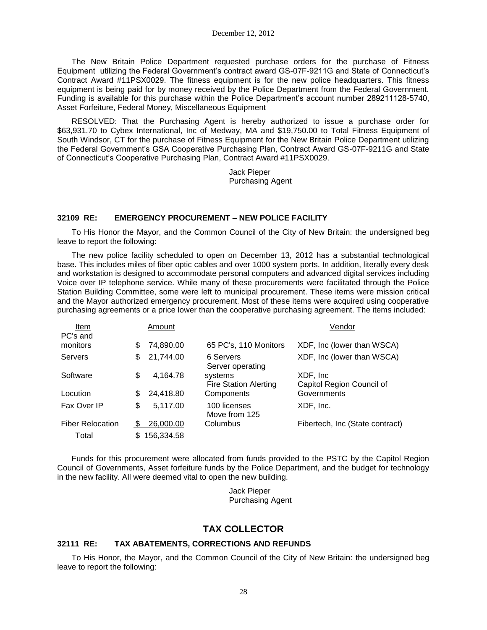The New Britain Police Department requested purchase orders for the purchase of Fitness Equipment utilizing the Federal Government's contract award GS-07F-9211G and State of Connecticut's Contract Award #11PSX0029. The fitness equipment is for the new police headquarters. This fitness equipment is being paid for by money received by the Police Department from the Federal Government. Funding is available for this purchase within the Police Department's account number 289211128-5740, Asset Forfeiture, Federal Money, Miscellaneous Equipment

RESOLVED: That the Purchasing Agent is hereby authorized to issue a purchase order for \$63,931.70 to Cybex International, Inc of Medway, MA and \$19,750.00 to Total Fitness Equipment of South Windsor, CT for the purchase of Fitness Equipment for the New Britain Police Department utilizing the Federal Government's GSA Cooperative Purchasing Plan, Contract Award GS-07F-9211G and State of Connecticut's Cooperative Purchasing Plan, Contract Award #11PSX0029.

> Jack Pieper Purchasing Agent

### **32109 RE: EMERGENCY PROCUREMENT – NEW POLICE FACILITY**

To His Honor the Mayor, and the Common Council of the City of New Britain: the undersigned beg leave to report the following:

The new police facility scheduled to open on December 13, 2012 has a substantial technological base. This includes miles of fiber optic cables and over 1000 system ports. In addition, literally every desk and workstation is designed to accommodate personal computers and advanced digital services including Voice over IP telephone service. While many of these procurements were facilitated through the Police Station Building Committee, some were left to municipal procurement. These items were mission critical and the Mayor authorized emergency procurement. Most of these items were acquired using cooperative purchasing agreements or a price lower than the cooperative purchasing agreement. The items included:

| Item                    |     | Amount     |                                         | Vendor                                 |
|-------------------------|-----|------------|-----------------------------------------|----------------------------------------|
| PC's and                |     |            |                                         |                                        |
| monitors                | S   | 74,890.00  | 65 PC's, 110 Monitors                   | XDF, Inc (lower than WSCA)             |
| <b>Servers</b>          | S   | 21,744.00  | 6 Servers<br>Server operating           | XDF, Inc (lower than WSCA)             |
| Software                | \$  | 4,164.78   | systems<br><b>Fire Station Alerting</b> | XDF, Inc.<br>Capitol Region Council of |
| Locution                | S   | 24,418.80  | Components                              | Governments                            |
| Fax Over IP             | \$  | 5,117.00   | 100 licenses<br>Move from 125           | XDF, Inc.                              |
| <b>Fiber Relocation</b> | -85 | 26,000.00  | Columbus                                | Fibertech, Inc (State contract)        |
| Total                   | S   | 156,334.58 |                                         |                                        |

Funds for this procurement were allocated from funds provided to the PSTC by the Capitol Region Council of Governments, Asset forfeiture funds by the Police Department, and the budget for technology in the new facility. All were deemed vital to open the new building.

> Jack Pieper Purchasing Agent

# **TAX COLLECTOR**

#### **32111 RE: TAX ABATEMENTS, CORRECTIONS AND REFUNDS**

To His Honor, the Mayor, and the Common Council of the City of New Britain: the undersigned beg leave to report the following: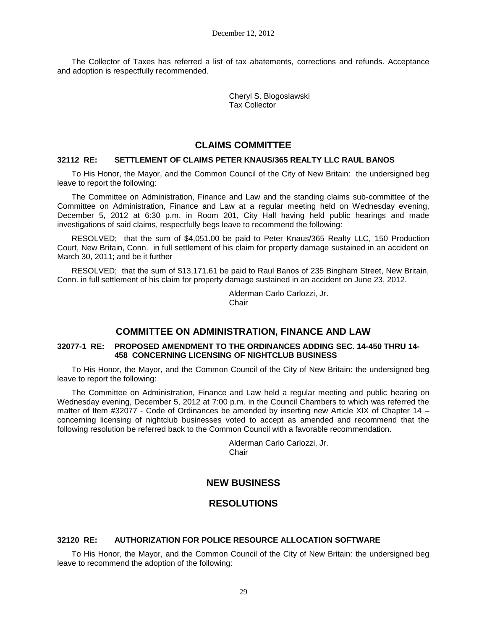The Collector of Taxes has referred a list of tax abatements, corrections and refunds. Acceptance and adoption is respectfully recommended.

> Cheryl S. Blogoslawski Tax Collector

## **CLAIMS COMMITTEE**

#### **32112 RE: SETTLEMENT OF CLAIMS PETER KNAUS/365 REALTY LLC RAUL BANOS**

To His Honor, the Mayor, and the Common Council of the City of New Britain: the undersigned beg leave to report the following:

The Committee on Administration, Finance and Law and the standing claims sub-committee of the Committee on Administration, Finance and Law at a regular meeting held on Wednesday evening, December 5, 2012 at 6:30 p.m. in Room 201, City Hall having held public hearings and made investigations of said claims, respectfully begs leave to recommend the following:

RESOLVED; that the sum of \$4,051.00 be paid to Peter Knaus/365 Realty LLC, 150 Production Court, New Britain, Conn. in full settlement of his claim for property damage sustained in an accident on March 30, 2011; and be it further

RESOLVED; that the sum of \$13,171.61 be paid to Raul Banos of 235 Bingham Street, New Britain, Conn. in full settlement of his claim for property damage sustained in an accident on June 23, 2012.

> Alderman Carlo Carlozzi, Jr. **Chair**

## **COMMITTEE ON ADMINISTRATION, FINANCE AND LAW**

#### **32077-1 RE: PROPOSED AMENDMENT TO THE ORDINANCES ADDING SEC. 14-450 THRU 14- 458 CONCERNING LICENSING OF NIGHTCLUB BUSINESS**

To His Honor, the Mayor, and the Common Council of the City of New Britain: the undersigned beg leave to report the following:

The Committee on Administration, Finance and Law held a regular meeting and public hearing on Wednesday evening, December 5, 2012 at 7:00 p.m. in the Council Chambers to which was referred the matter of Item #32077 - Code of Ordinances be amended by inserting new Article XIX of Chapter 14 concerning licensing of nightclub businesses voted to accept as amended and recommend that the following resolution be referred back to the Common Council with a favorable recommendation.

> Alderman Carlo Carlozzi, Jr. **Chair**

## **NEW BUSINESS**

## **RESOLUTIONS**

### **32120 RE: AUTHORIZATION FOR POLICE RESOURCE ALLOCATION SOFTWARE**

To His Honor, the Mayor, and the Common Council of the City of New Britain: the undersigned beg leave to recommend the adoption of the following: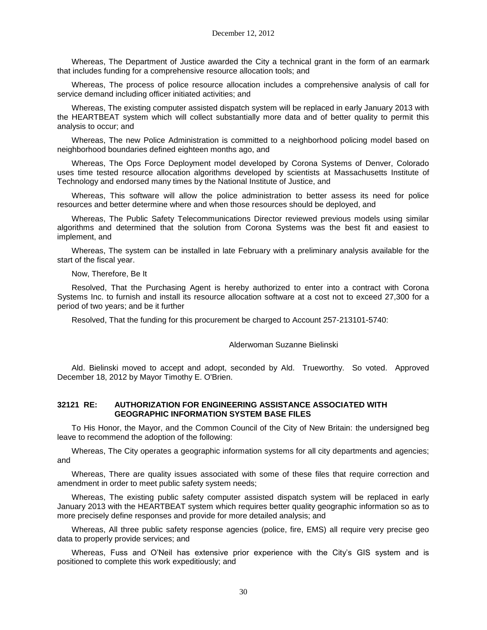Whereas, The Department of Justice awarded the City a technical grant in the form of an earmark that includes funding for a comprehensive resource allocation tools; and

Whereas, The process of police resource allocation includes a comprehensive analysis of call for service demand including officer initiated activities; and

Whereas, The existing computer assisted dispatch system will be replaced in early January 2013 with the HEARTBEAT system which will collect substantially more data and of better quality to permit this analysis to occur; and

Whereas, The new Police Administration is committed to a neighborhood policing model based on neighborhood boundaries defined eighteen months ago, and

Whereas, The Ops Force Deployment model developed by Corona Systems of Denver, Colorado uses time tested resource allocation algorithms developed by scientists at Massachusetts Institute of Technology and endorsed many times by the National Institute of Justice, and

Whereas, This software will allow the police administration to better assess its need for police resources and better determine where and when those resources should be deployed, and

Whereas, The Public Safety Telecommunications Director reviewed previous models using similar algorithms and determined that the solution from Corona Systems was the best fit and easiest to implement, and

Whereas, The system can be installed in late February with a preliminary analysis available for the start of the fiscal year.

Now, Therefore, Be It

Resolved, That the Purchasing Agent is hereby authorized to enter into a contract with Corona Systems Inc. to furnish and install its resource allocation software at a cost not to exceed 27,300 for a period of two years; and be it further

Resolved, That the funding for this procurement be charged to Account 257-213101-5740:

#### Alderwoman Suzanne Bielinski

Ald. Bielinski moved to accept and adopt, seconded by Ald. Trueworthy. So voted. Approved December 18, 2012 by Mayor Timothy E. O'Brien.

#### **32121 RE: AUTHORIZATION FOR ENGINEERING ASSISTANCE ASSOCIATED WITH GEOGRAPHIC INFORMATION SYSTEM BASE FILES**

To His Honor, the Mayor, and the Common Council of the City of New Britain: the undersigned beg leave to recommend the adoption of the following:

Whereas, The City operates a geographic information systems for all city departments and agencies; and

Whereas, There are quality issues associated with some of these files that require correction and amendment in order to meet public safety system needs;

Whereas, The existing public safety computer assisted dispatch system will be replaced in early January 2013 with the HEARTBEAT system which requires better quality geographic information so as to more precisely define responses and provide for more detailed analysis; and

Whereas, All three public safety response agencies (police, fire, EMS) all require very precise geo data to properly provide services; and

Whereas, Fuss and O'Neil has extensive prior experience with the City's GIS system and is positioned to complete this work expeditiously; and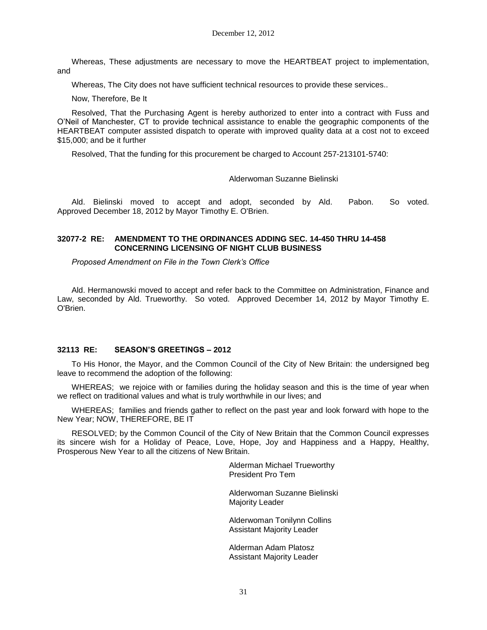Whereas, These adjustments are necessary to move the HEARTBEAT project to implementation, and

Whereas, The City does not have sufficient technical resources to provide these services..

Now, Therefore, Be It

Resolved, That the Purchasing Agent is hereby authorized to enter into a contract with Fuss and O'Neil of Manchester, CT to provide technical assistance to enable the geographic components of the HEARTBEAT computer assisted dispatch to operate with improved quality data at a cost not to exceed \$15,000; and be it further

Resolved, That the funding for this procurement be charged to Account 257-213101-5740:

Alderwoman Suzanne Bielinski

Ald. Bielinski moved to accept and adopt, seconded by Ald. Pabon. So voted. Approved December 18, 2012 by Mayor Timothy E. O'Brien.

### **32077-2 RE: AMENDMENT TO THE ORDINANCES ADDING SEC. 14-450 THRU 14-458 CONCERNING LICENSING OF NIGHT CLUB BUSINESS**

*Proposed Amendment on File in the Town Clerk's Office*

Ald. Hermanowski moved to accept and refer back to the Committee on Administration, Finance and Law, seconded by Ald. Trueworthy. So voted. Approved December 14, 2012 by Mayor Timothy E. O'Brien.

### **32113 RE: SEASON'S GREETINGS – 2012**

To His Honor, the Mayor, and the Common Council of the City of New Britain: the undersigned beg leave to recommend the adoption of the following:

WHEREAS; we rejoice with or families during the holiday season and this is the time of year when we reflect on traditional values and what is truly worthwhile in our lives; and

WHEREAS; families and friends gather to reflect on the past year and look forward with hope to the New Year; NOW, THEREFORE, BE IT

RESOLVED; by the Common Council of the City of New Britain that the Common Council expresses its sincere wish for a Holiday of Peace, Love, Hope, Joy and Happiness and a Happy, Healthy, Prosperous New Year to all the citizens of New Britain.

> Alderman Michael Trueworthy President Pro Tem

Alderwoman Suzanne Bielinski Majority Leader

Alderwoman Tonilynn Collins Assistant Majority Leader

Alderman Adam Platosz Assistant Majority Leader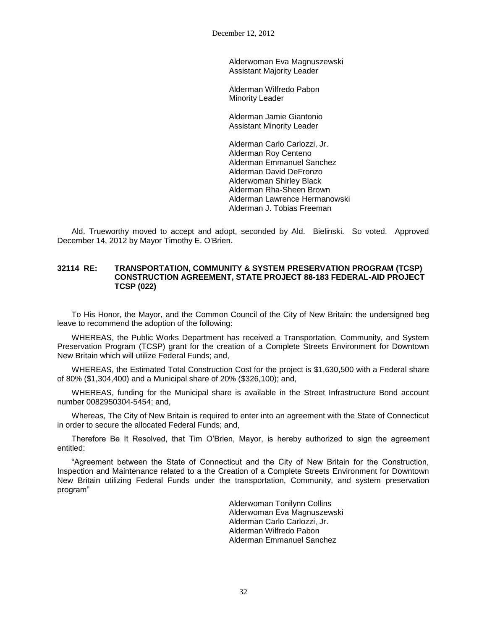December 12, 2012

Alderwoman Eva Magnuszewski Assistant Majority Leader

Alderman Wilfredo Pabon Minority Leader

Alderman Jamie Giantonio Assistant Minority Leader

Alderman Carlo Carlozzi, Jr. Alderman Roy Centeno Alderman Emmanuel Sanchez Alderman David DeFronzo Alderwoman Shirley Black Alderman Rha-Sheen Brown Alderman Lawrence Hermanowski Alderman J. Tobias Freeman

Ald. Trueworthy moved to accept and adopt, seconded by Ald. Bielinski. So voted. Approved December 14, 2012 by Mayor Timothy E. O'Brien.

#### **32114 RE: TRANSPORTATION, COMMUNITY & SYSTEM PRESERVATION PROGRAM (TCSP) CONSTRUCTION AGREEMENT, STATE PROJECT 88-183 FEDERAL-AID PROJECT TCSP (022)**

To His Honor, the Mayor, and the Common Council of the City of New Britain: the undersigned beg leave to recommend the adoption of the following:

WHEREAS, the Public Works Department has received a Transportation, Community, and System Preservation Program (TCSP) grant for the creation of a Complete Streets Environment for Downtown New Britain which will utilize Federal Funds; and,

WHEREAS, the Estimated Total Construction Cost for the project is \$1,630,500 with a Federal share of 80% (\$1,304,400) and a Municipal share of 20% (\$326,100); and,

WHEREAS, funding for the Municipal share is available in the Street Infrastructure Bond account number 0082950304-5454; and,

Whereas, The City of New Britain is required to enter into an agreement with the State of Connecticut in order to secure the allocated Federal Funds; and,

Therefore Be It Resolved, that Tim O'Brien, Mayor, is hereby authorized to sign the agreement entitled:

"Agreement between the State of Connecticut and the City of New Britain for the Construction, Inspection and Maintenance related to a the Creation of a Complete Streets Environment for Downtown New Britain utilizing Federal Funds under the transportation, Community, and system preservation program"

> Alderwoman Tonilynn Collins Alderwoman Eva Magnuszewski Alderman Carlo Carlozzi, Jr. Alderman Wilfredo Pabon Alderman Emmanuel Sanchez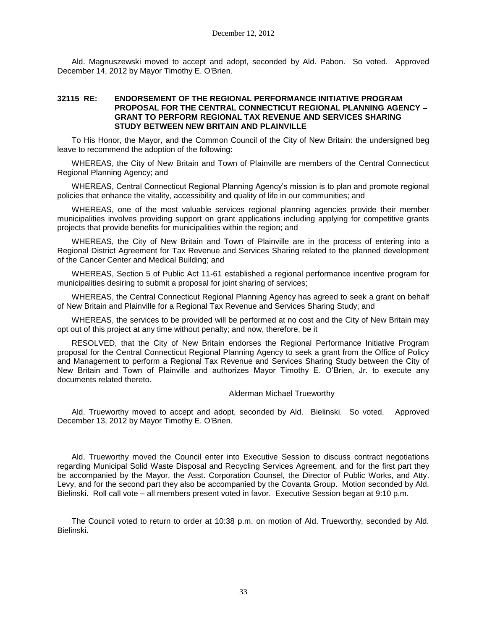Ald. Magnuszewski moved to accept and adopt, seconded by Ald. Pabon. So voted. Approved December 14, 2012 by Mayor Timothy E. O'Brien.

#### **32115 RE: ENDORSEMENT OF THE REGIONAL PERFORMANCE INITIATIVE PROGRAM PROPOSAL FOR THE CENTRAL CONNECTICUT REGIONAL PLANNING AGENCY – GRANT TO PERFORM REGIONAL TAX REVENUE AND SERVICES SHARING STUDY BETWEEN NEW BRITAIN AND PLAINVILLE**

To His Honor, the Mayor, and the Common Council of the City of New Britain: the undersigned beg leave to recommend the adoption of the following:

WHEREAS, the City of New Britain and Town of Plainville are members of the Central Connecticut Regional Planning Agency; and

WHEREAS, Central Connecticut Regional Planning Agency's mission is to plan and promote regional policies that enhance the vitality, accessibility and quality of life in our communities; and

WHEREAS, one of the most valuable services regional planning agencies provide their member municipalities involves providing support on grant applications including applying for competitive grants projects that provide benefits for municipalities within the region; and

WHEREAS, the City of New Britain and Town of Plainville are in the process of entering into a Regional District Agreement for Tax Revenue and Services Sharing related to the planned development of the Cancer Center and Medical Building; and

WHEREAS, Section 5 of Public Act 11-61 established a regional performance incentive program for municipalities desiring to submit a proposal for joint sharing of services;

WHEREAS, the Central Connecticut Regional Planning Agency has agreed to seek a grant on behalf of New Britain and Plainville for a Regional Tax Revenue and Services Sharing Study; and

WHEREAS, the services to be provided will be performed at no cost and the City of New Britain may opt out of this project at any time without penalty; and now, therefore, be it

RESOLVED, that the City of New Britain endorses the Regional Performance Initiative Program proposal for the Central Connecticut Regional Planning Agency to seek a grant from the Office of Policy and Management to perform a Regional Tax Revenue and Services Sharing Study between the City of New Britain and Town of Plainville and authorizes Mayor Timothy E. O'Brien, Jr. to execute any documents related thereto.

#### Alderman Michael Trueworthy

Ald. Trueworthy moved to accept and adopt, seconded by Ald. Bielinski. So voted. Approved December 13, 2012 by Mayor Timothy E. O'Brien.

Ald. Trueworthy moved the Council enter into Executive Session to discuss contract negotiations regarding Municipal Solid Waste Disposal and Recycling Services Agreement, and for the first part they be accompanied by the Mayor, the Asst. Corporation Counsel, the Director of Public Works, and Atty. Levy, and for the second part they also be accompanied by the Covanta Group. Motion seconded by Ald. Bielinski. Roll call vote – all members present voted in favor. Executive Session began at 9:10 p.m.

The Council voted to return to order at 10:38 p.m. on motion of Ald. Trueworthy, seconded by Ald. Bielinski.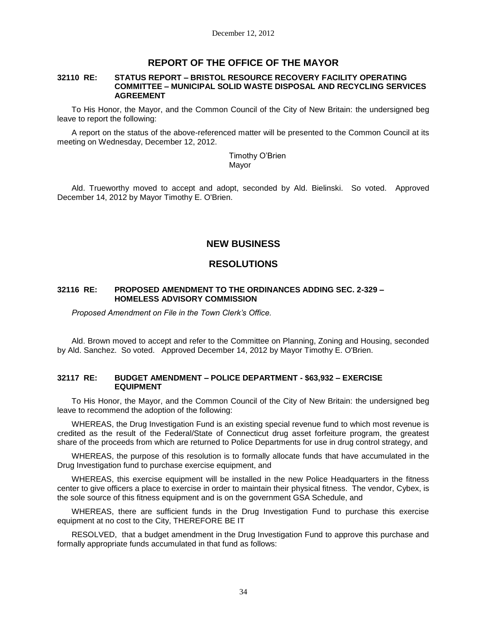# **REPORT OF THE OFFICE OF THE MAYOR**

#### **32110 RE: STATUS REPORT – BRISTOL RESOURCE RECOVERY FACILITY OPERATING COMMITTEE – MUNICIPAL SOLID WASTE DISPOSAL AND RECYCLING SERVICES AGREEMENT**

To His Honor, the Mayor, and the Common Council of the City of New Britain: the undersigned beg leave to report the following:

A report on the status of the above-referenced matter will be presented to the Common Council at its meeting on Wednesday, December 12, 2012.

> Timothy O'Brien Mayor

Ald. Trueworthy moved to accept and adopt, seconded by Ald. Bielinski. So voted. Approved December 14, 2012 by Mayor Timothy E. O'Brien.

## **NEW BUSINESS**

## **RESOLUTIONS**

#### **32116 RE: PROPOSED AMENDMENT TO THE ORDINANCES ADDING SEC. 2-329 – HOMELESS ADVISORY COMMISSION**

*Proposed Amendment on File in the Town Clerk's Office.*

Ald. Brown moved to accept and refer to the Committee on Planning, Zoning and Housing, seconded by Ald. Sanchez. So voted. Approved December 14, 2012 by Mayor Timothy E. O'Brien.

#### **32117 RE: BUDGET AMENDMENT – POLICE DEPARTMENT - \$63,932 – EXERCISE EQUIPMENT**

To His Honor, the Mayor, and the Common Council of the City of New Britain: the undersigned beg leave to recommend the adoption of the following:

WHEREAS, the Drug Investigation Fund is an existing special revenue fund to which most revenue is credited as the result of the Federal/State of Connecticut drug asset forfeiture program, the greatest share of the proceeds from which are returned to Police Departments for use in drug control strategy, and

WHEREAS, the purpose of this resolution is to formally allocate funds that have accumulated in the Drug Investigation fund to purchase exercise equipment, and

WHEREAS, this exercise equipment will be installed in the new Police Headquarters in the fitness center to give officers a place to exercise in order to maintain their physical fitness. The vendor, Cybex, is the sole source of this fitness equipment and is on the government GSA Schedule, and

WHEREAS, there are sufficient funds in the Drug Investigation Fund to purchase this exercise equipment at no cost to the City, THEREFORE BE IT

RESOLVED, that a budget amendment in the Drug Investigation Fund to approve this purchase and formally appropriate funds accumulated in that fund as follows: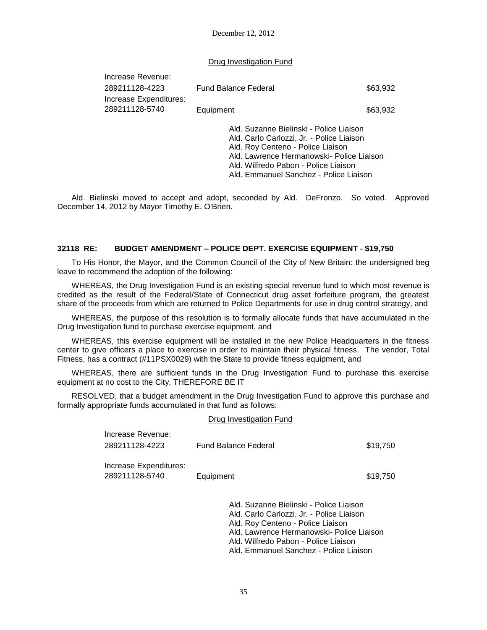December 12, 2012

Drug Investigation Fund

| Increase Revenue:      |                                                                                                                                                                                                                |          |
|------------------------|----------------------------------------------------------------------------------------------------------------------------------------------------------------------------------------------------------------|----------|
| 289211128-4223         | <b>Fund Balance Federal</b>                                                                                                                                                                                    | \$63,932 |
| Increase Expenditures: |                                                                                                                                                                                                                |          |
| 289211128-5740         | Equipment                                                                                                                                                                                                      | \$63,932 |
|                        | Ald. Suzanne Bielinski - Police Liaison<br>Ald. Carlo Carlozzi, Jr. - Police Liaison<br>Ald. Roy Centeno - Police Liaison<br>Ald. Lawrence Hermanowski- Police Liaison<br>Ald, Wilfredo Pabon - Police Liaison |          |

Ald. Emmanuel Sanchez - Police Liaison

Ald. Bielinski moved to accept and adopt, seconded by Ald. DeFronzo. So voted. Approved December 14, 2012 by Mayor Timothy E. O'Brien.

#### **32118 RE: BUDGET AMENDMENT – POLICE DEPT. EXERCISE EQUIPMENT - \$19,750**

To His Honor, the Mayor, and the Common Council of the City of New Britain: the undersigned beg leave to recommend the adoption of the following:

WHEREAS, the Drug Investigation Fund is an existing special revenue fund to which most revenue is credited as the result of the Federal/State of Connecticut drug asset forfeiture program, the greatest share of the proceeds from which are returned to Police Departments for use in drug control strategy, and

WHEREAS, the purpose of this resolution is to formally allocate funds that have accumulated in the Drug Investigation fund to purchase exercise equipment, and

WHEREAS, this exercise equipment will be installed in the new Police Headquarters in the fitness center to give officers a place to exercise in order to maintain their physical fitness. The vendor, Total Fitness, has a contract (#11PSX0029) with the State to provide fitness equipment, and

WHEREAS, there are sufficient funds in the Drug Investigation Fund to purchase this exercise equipment at no cost to the City, THEREFORE BE IT

RESOLVED, that a budget amendment in the Drug Investigation Fund to approve this purchase and formally appropriate funds accumulated in that fund as follows:

#### Drug Investigation Fund

| Increase Revenue:                        |                                                                                                                           |          |
|------------------------------------------|---------------------------------------------------------------------------------------------------------------------------|----------|
| 289211128-4223                           | Fund Balance Federal                                                                                                      | \$19,750 |
| Increase Expenditures:<br>289211128-5740 | Equipment                                                                                                                 | \$19,750 |
|                                          | Ald. Suzanne Bielinski - Police Liaison<br>Ald. Carlo Carlozzi, Jr. - Police Liaison<br>Ald. Roy Centeno - Police Liaison |          |

Ald. Lawrence Hermanowski- Police Liaison

Ald. Wilfredo Pabon - Police Liaison

Ald. Emmanuel Sanchez - Police Liaison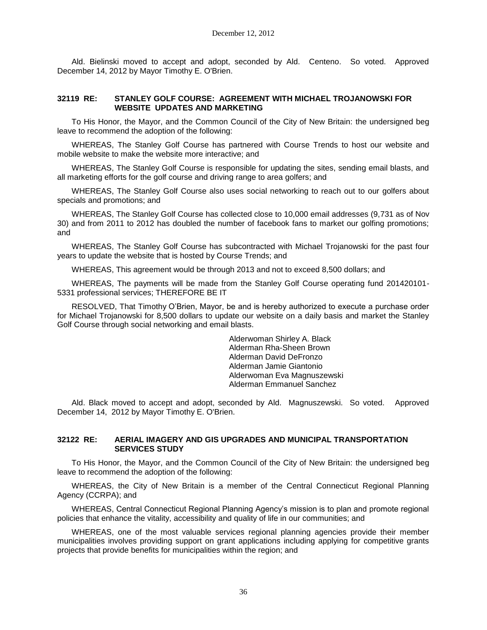Ald. Bielinski moved to accept and adopt, seconded by Ald. Centeno. So voted. Approved December 14, 2012 by Mayor Timothy E. O'Brien.

### **32119 RE: STANLEY GOLF COURSE: AGREEMENT WITH MICHAEL TROJANOWSKI FOR WEBSITE UPDATES AND MARKETING**

To His Honor, the Mayor, and the Common Council of the City of New Britain: the undersigned beg leave to recommend the adoption of the following:

WHEREAS, The Stanley Golf Course has partnered with Course Trends to host our website and mobile website to make the website more interactive; and

WHEREAS, The Stanley Golf Course is responsible for updating the sites, sending email blasts, and all marketing efforts for the golf course and driving range to area golfers; and

WHEREAS, The Stanley Golf Course also uses social networking to reach out to our golfers about specials and promotions; and

WHEREAS, The Stanley Golf Course has collected close to 10,000 email addresses (9,731 as of Nov 30) and from 2011 to 2012 has doubled the number of facebook fans to market our golfing promotions; and

WHEREAS, The Stanley Golf Course has subcontracted with Michael Trojanowski for the past four years to update the website that is hosted by Course Trends; and

WHEREAS, This agreement would be through 2013 and not to exceed 8,500 dollars; and

WHEREAS, The payments will be made from the Stanley Golf Course operating fund 201420101- 5331 professional services; THEREFORE BE IT

RESOLVED, That Timothy O'Brien, Mayor, be and is hereby authorized to execute a purchase order for Michael Trojanowski for 8,500 dollars to update our website on a daily basis and market the Stanley Golf Course through social networking and email blasts.

> Alderwoman Shirley A. Black Alderman Rha-Sheen Brown Alderman David DeFronzo Alderman Jamie Giantonio Alderwoman Eva Magnuszewski Alderman Emmanuel Sanchez

Ald. Black moved to accept and adopt, seconded by Ald. Magnuszewski. So voted. Approved December 14, 2012 by Mayor Timothy E. O'Brien.

### **32122 RE: AERIAL IMAGERY AND GIS UPGRADES AND MUNICIPAL TRANSPORTATION SERVICES STUDY**

To His Honor, the Mayor, and the Common Council of the City of New Britain: the undersigned beg leave to recommend the adoption of the following:

WHEREAS, the City of New Britain is a member of the Central Connecticut Regional Planning Agency (CCRPA); and

WHEREAS, Central Connecticut Regional Planning Agency's mission is to plan and promote regional policies that enhance the vitality, accessibility and quality of life in our communities; and

WHEREAS, one of the most valuable services regional planning agencies provide their member municipalities involves providing support on grant applications including applying for competitive grants projects that provide benefits for municipalities within the region; and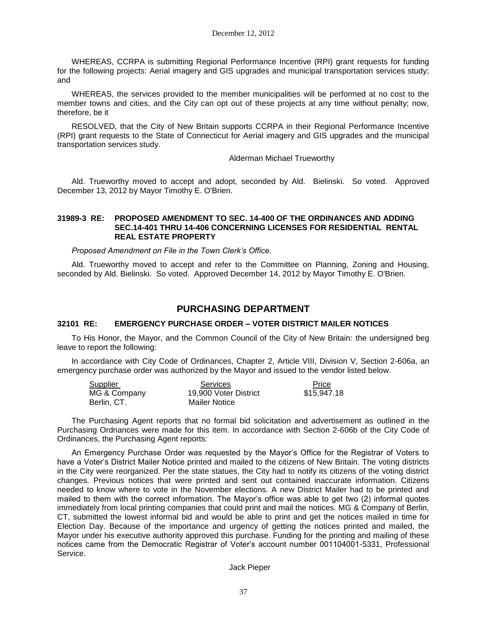WHEREAS, CCRPA is submitting Regional Performance Incentive (RPI) grant requests for funding for the following projects: Aerial imagery and GIS upgrades and municipal transportation services study; and

WHEREAS, the services provided to the member municipalities will be performed at no cost to the member towns and cities, and the City can opt out of these projects at any time without penalty; now, therefore, be it

RESOLVED, that the City of New Britain supports CCRPA in their Regional Performance Incentive (RPI) grant requests to the State of Connecticut for Aerial imagery and GIS upgrades and the municipal transportation services study.

#### Alderman Michael Trueworthy

Ald. Trueworthy moved to accept and adopt, seconded by Ald. Bielinski. So voted. Approved December 13, 2012 by Mayor Timothy E. O'Brien.

### **31989-3 RE: PROPOSED AMENDMENT TO SEC. 14-400 OF THE ORDINANCES AND ADDING SEC.14-401 THRU 14-406 CONCERNING LICENSES FOR RESIDENTIAL RENTAL REAL ESTATE PROPERTY**

*Proposed Amendment on File in the Town Clerk's Office.*

Ald. Trueworthy moved to accept and refer to the Committee on Planning, Zoning and Housing, seconded by Ald. Bielinski. So voted. Approved December 14, 2012 by Mayor Timothy E. O'Brien.

## **PURCHASING DEPARTMENT**

## **32101 RE: EMERGENCY PURCHASE ORDER – VOTER DISTRICT MAILER NOTICES**

To His Honor, the Mayor, and the Common Council of the City of New Britain: the undersigned beg leave to report the following:

In accordance with City Code of Ordinances, Chapter 2, Article VIII, Division V, Section 2-606a, an emergency purchase order was authorized by the Mayor and issued to the vendor listed below.

| Supplier     | <b>Services</b>       | Price       |
|--------------|-----------------------|-------------|
| MG & Company | 19,900 Voter District | \$15,947.18 |
| Berlin, CT.  | Mailer Notice         |             |

The Purchasing Agent reports that no formal bid solicitation and advertisement as outlined in the Purchasing Ordnances were made for this item. In accordance with Section 2-606b of the City Code of Ordinances, the Purchasing Agent reports:

An Emergency Purchase Order was requested by the Mayor's Office for the Registrar of Voters to have a Voter's District Mailer Notice printed and mailed to the citizens of New Britain. The voting districts in the City were reorganized. Per the state statues, the City had to notify its citizens of the voting district changes. Previous notices that were printed and sent out contained inaccurate information. Citizens needed to know where to vote in the November elections. A new District Mailer had to be printed and mailed to them with the correct information. The Mayor's office was able to get two (2) informal quotes immediately from local printing companies that could print and mail the notices. MG & Company of Berlin, CT, submitted the lowest informal bid and would be able to print and get the notices mailed in time for Election Day. Because of the importance and urgency of getting the notices printed and mailed, the Mayor under his executive authority approved this purchase. Funding for the printing and mailing of these notices came from the Democratic Registrar of Voter's account number 001104001-5331, Professional Service.

Jack Pieper